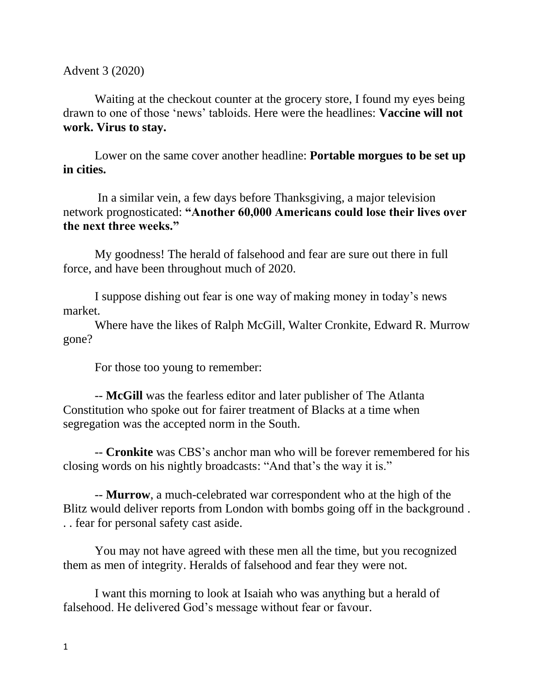Advent 3 (2020)

Waiting at the checkout counter at the grocery store, I found my eyes being drawn to one of those 'news' tabloids. Here were the headlines: **Vaccine will not work. Virus to stay.**

Lower on the same cover another headline: **Portable morgues to be set up in cities.**

In a similar vein, a few days before Thanksgiving, a major television network prognosticated: **"Another 60,000 Americans could lose their lives over the next three weeks."** 

My goodness! The herald of falsehood and fear are sure out there in full force, and have been throughout much of 2020.

I suppose dishing out fear is one way of making money in today's news market.

Where have the likes of Ralph McGill, Walter Cronkite, Edward R. Murrow gone?

For those too young to remember:

-- **McGill** was the fearless editor and later publisher of The Atlanta Constitution who spoke out for fairer treatment of Blacks at a time when segregation was the accepted norm in the South.

-- **Cronkite** was CBS's anchor man who will be forever remembered for his closing words on his nightly broadcasts: "And that's the way it is."

-- **Murrow**, a much-celebrated war correspondent who at the high of the Blitz would deliver reports from London with bombs going off in the background . . . fear for personal safety cast aside.

You may not have agreed with these men all the time, but you recognized them as men of integrity. Heralds of falsehood and fear they were not.

I want this morning to look at Isaiah who was anything but a herald of falsehood. He delivered God's message without fear or favour.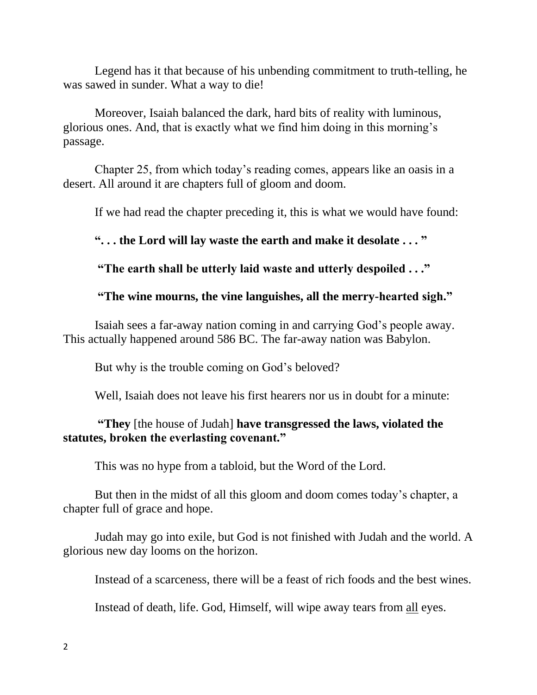Legend has it that because of his unbending commitment to truth-telling, he was sawed in sunder. What a way to die!

Moreover, Isaiah balanced the dark, hard bits of reality with luminous, glorious ones. And, that is exactly what we find him doing in this morning's passage.

Chapter 25, from which today's reading comes, appears like an oasis in a desert. All around it are chapters full of gloom and doom.

If we had read the chapter preceding it, this is what we would have found:

### **". . . the Lord will lay waste the earth and make it desolate . . . "**

**"The earth shall be utterly laid waste and utterly despoiled . . ."**

### **"The wine mourns, the vine languishes, all the merry-hearted sigh."**

Isaiah sees a far-away nation coming in and carrying God's people away. This actually happened around 586 BC. The far-away nation was Babylon.

But why is the trouble coming on God's beloved?

Well. Isaiah does not leave his first hearers nor us in doubt for a minute:

# **"They** [the house of Judah] **have transgressed the laws, violated the statutes, broken the everlasting covenant."**

This was no hype from a tabloid, but the Word of the Lord.

But then in the midst of all this gloom and doom comes today's chapter, a chapter full of grace and hope.

Judah may go into exile, but God is not finished with Judah and the world. A glorious new day looms on the horizon.

Instead of a scarceness, there will be a feast of rich foods and the best wines.

Instead of death, life. God, Himself, will wipe away tears from all eyes.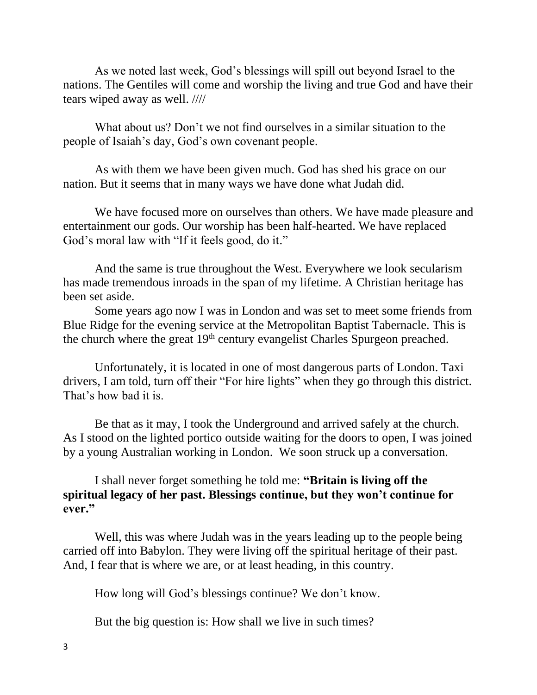As we noted last week, God's blessings will spill out beyond Israel to the nations. The Gentiles will come and worship the living and true God and have their tears wiped away as well. ////

What about us? Don't we not find ourselves in a similar situation to the people of Isaiah's day, God's own covenant people.

As with them we have been given much. God has shed his grace on our nation. But it seems that in many ways we have done what Judah did.

We have focused more on ourselves than others. We have made pleasure and entertainment our gods. Our worship has been half-hearted. We have replaced God's moral law with "If it feels good, do it."

And the same is true throughout the West. Everywhere we look secularism has made tremendous inroads in the span of my lifetime. A Christian heritage has been set aside.

Some years ago now I was in London and was set to meet some friends from Blue Ridge for the evening service at the Metropolitan Baptist Tabernacle. This is the church where the great  $19<sup>th</sup>$  century evangelist Charles Spurgeon preached.

Unfortunately, it is located in one of most dangerous parts of London. Taxi drivers, I am told, turn off their "For hire lights" when they go through this district. That's how bad it is.

Be that as it may, I took the Underground and arrived safely at the church. As I stood on the lighted portico outside waiting for the doors to open, I was joined by a young Australian working in London. We soon struck up a conversation.

I shall never forget something he told me: **"Britain is living off the spiritual legacy of her past. Blessings continue, but they won't continue for ever."** 

Well, this was where Judah was in the years leading up to the people being carried off into Babylon. They were living off the spiritual heritage of their past. And, I fear that is where we are, or at least heading, in this country.

How long will God's blessings continue? We don't know.

But the big question is: How shall we live in such times?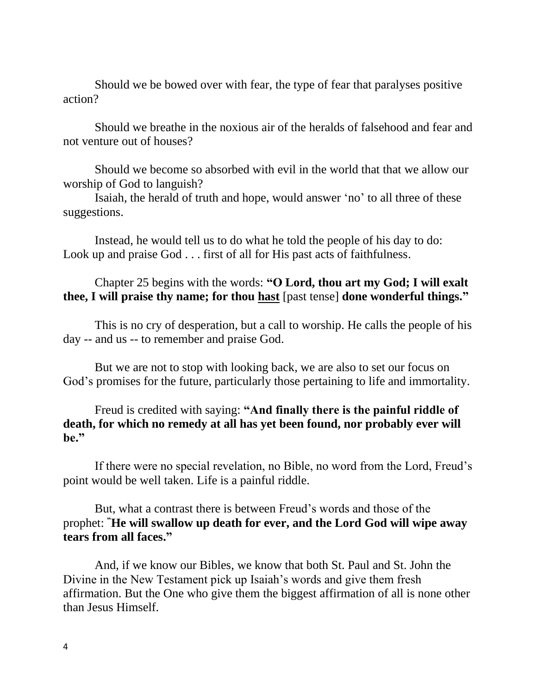Should we be bowed over with fear, the type of fear that paralyses positive action?

Should we breathe in the noxious air of the heralds of falsehood and fear and not venture out of houses?

Should we become so absorbed with evil in the world that that we allow our worship of God to languish?

Isaiah, the herald of truth and hope, would answer 'no' to all three of these suggestions.

Instead, he would tell us to do what he told the people of his day to do: Look up and praise God . . . first of all for His past acts of faithfulness.

## Chapter 25 begins with the words: **"O Lord, thou art my God; I will exalt thee, I will praise thy name; for thou hast** [past tense] **done wonderful things."**

This is no cry of desperation, but a call to worship. He calls the people of his day -- and us -- to remember and praise God.

But we are not to stop with looking back, we are also to set our focus on God's promises for the future, particularly those pertaining to life and immortality.

### Freud is credited with saying: **"And finally there is the painful riddle of death, for which no remedy at all has yet been found, nor probably ever will be."**

If there were no special revelation, no Bible, no word from the Lord, Freud's point would be well taken. Life is a painful riddle.

But, what a contrast there is between Freud's words and those of the prophet: **"He will swallow up death for ever, and the Lord God will wipe away tears from all faces."**

And, if we know our Bibles, we know that both St. Paul and St. John the Divine in the New Testament pick up Isaiah's words and give them fresh affirmation. But the One who give them the biggest affirmation of all is none other than Jesus Himself.